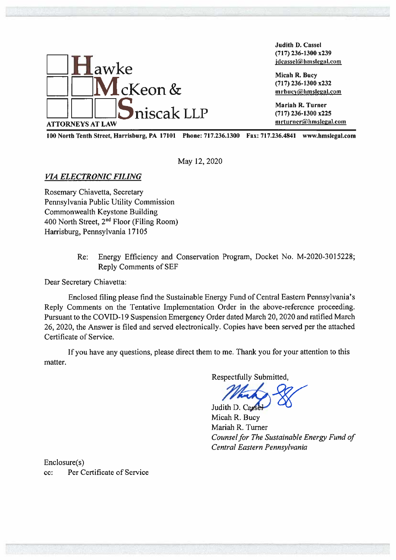

Judith D. Cassel  $(717)$  236-1300 x239 jdcassel@hmslegal.com

Micah R. Bucy  $(717)$  236-1300 x232  $m$ rbucy@hmslegal.com

Mariah R. Turner  $(717)$  236-1300 x225 mrturner@hmslegal.com

100 North Tenth Street, Harrisburg, PA 17101 Phone: 717.236.1300 Fax: 717.236.4841 www.hmslegal.com

May 12, 2020

**VIA ELECTRONIC FILING** 

Rosemary Chiavetta, Secretary Pennsylvania Public Utility Commission Commonwealth Keystone Building 400 North Street, 2<sup>nd</sup> Floor (Filing Room) Harrisburg, Pennsylvania 17105

> $Re:$ Energy Efficiency and Conservation Program, Docket No. M-2020-3015228; **Reply Comments of SEF**

Dear Secretary Chiavetta:

Enclosed filing please find the Sustainable Energy Fund of Central Eastern Pennsylvania's Reply Comments on the Tentative Implementation Order in the above-reference proceeding. Pursuant to the COVID-19 Suspension Emergency Order dated March 20, 2020 and ratified March 26, 2020, the Answer is filed and served electronically. Copies have been served per the attached Certificate of Service.

If you have any questions, please direct them to me. Thank you for your attention to this matter.

Respectfully Submitted,

Judith D. Carsel Micah R. Bucy Mariah R. Turner Counsel for The Sustainable Energy Fund of Central Eastern Pennsylvania

Enclosure(s) Per Certificate of Service  $cc$ :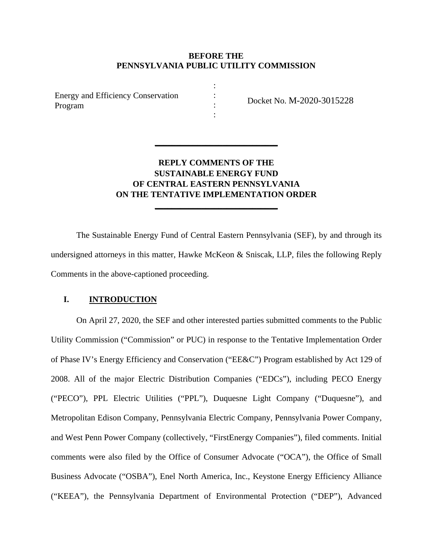## **BEFORE THE PENNSYLVANIA PUBLIC UTILITY COMMISSION**

: : : :

Energy and Efficiency Conservation Program

Docket No. M-2020-3015228

# **REPLY COMMENTS OF THE SUSTAINABLE ENERGY FUND OF CENTRAL EASTERN PENNSYLVANIA ON THE TENTATIVE IMPLEMENTATION ORDER**

**\_\_\_\_\_\_\_\_\_\_\_\_\_\_\_\_\_\_\_\_\_\_\_\_\_\_\_\_\_** 

**\_\_\_\_\_\_\_\_\_\_\_\_\_\_\_\_\_\_\_\_\_\_\_\_\_\_\_\_\_** 

 The Sustainable Energy Fund of Central Eastern Pennsylvania (SEF), by and through its undersigned attorneys in this matter, Hawke McKeon & Sniscak, LLP, files the following Reply Comments in the above-captioned proceeding.

# **I. INTRODUCTION**

On April 27, 2020, the SEF and other interested parties submitted comments to the Public Utility Commission ("Commission" or PUC) in response to the Tentative Implementation Order of Phase IV's Energy Efficiency and Conservation ("EE&C") Program established by Act 129 of 2008. All of the major Electric Distribution Companies ("EDCs"), including PECO Energy ("PECO"), PPL Electric Utilities ("PPL"), Duquesne Light Company ("Duquesne"), and Metropolitan Edison Company, Pennsylvania Electric Company, Pennsylvania Power Company, and West Penn Power Company (collectively, "FirstEnergy Companies"), filed comments. Initial comments were also filed by the Office of Consumer Advocate ("OCA"), the Office of Small Business Advocate ("OSBA"), Enel North America, Inc., Keystone Energy Efficiency Alliance ("KEEA"), the Pennsylvania Department of Environmental Protection ("DEP"), Advanced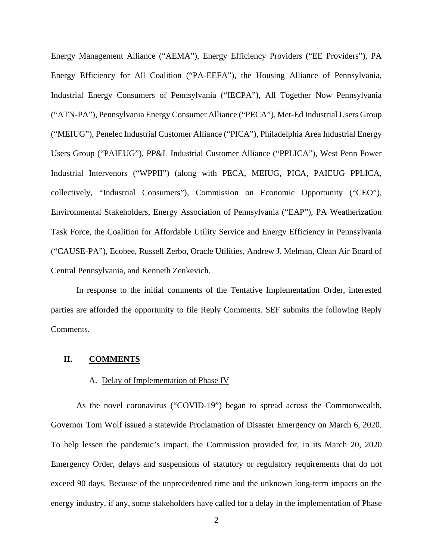Energy Management Alliance ("AEMA"), Energy Efficiency Providers ("EE Providers"), PA Energy Efficiency for All Coalition ("PA-EEFA"), the Housing Alliance of Pennsylvania, Industrial Energy Consumers of Pennsylvania ("IECPA"), All Together Now Pennsylvania ("ATN-PA"), Pennsylvania Energy Consumer Alliance ("PECA"), Met-Ed Industrial Users Group ("MEIUG"), Penelec Industrial Customer Alliance ("PICA"), Philadelphia Area Industrial Energy Users Group ("PAIEUG"), PP&L Industrial Customer Alliance ("PPLICA"), West Penn Power Industrial Intervenors ("WPPII") (along with PECA, MEIUG, PICA, PAIEUG PPLICA, collectively, "Industrial Consumers"), Commission on Economic Opportunity ("CEO"), Environmental Stakeholders, Energy Association of Pennsylvania ("EAP"), PA Weatherization Task Force, the Coalition for Affordable Utility Service and Energy Efficiency in Pennsylvania ("CAUSE-PA"), Ecobee, Russell Zerbo, Oracle Utilities, Andrew J. Melman, Clean Air Board of Central Pennsylvania, and Kenneth Zenkevich.

In response to the initial comments of the Tentative Implementation Order, interested parties are afforded the opportunity to file Reply Comments. SEF submits the following Reply Comments.

#### **II. COMMENTS**

#### A. Delay of Implementation of Phase IV

As the novel coronavirus ("COVID-19") began to spread across the Commonwealth, Governor Tom Wolf issued a statewide Proclamation of Disaster Emergency on March 6, 2020. To help lessen the pandemic's impact, the Commission provided for, in its March 20, 2020 Emergency Order, delays and suspensions of statutory or regulatory requirements that do not exceed 90 days. Because of the unprecedented time and the unknown long-term impacts on the energy industry, if any, some stakeholders have called for a delay in the implementation of Phase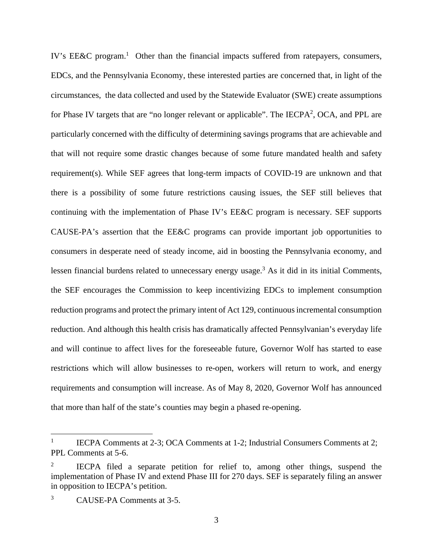IV's EE&C program.<sup>1</sup> Other than the financial impacts suffered from ratepayers, consumers, EDCs, and the Pennsylvania Economy, these interested parties are concerned that, in light of the circumstances, the data collected and used by the Statewide Evaluator (SWE) create assumptions for Phase IV targets that are "no longer relevant or applicable". The IECPA<sup>2</sup>, OCA, and PPL are particularly concerned with the difficulty of determining savings programs that are achievable and that will not require some drastic changes because of some future mandated health and safety requirement(s). While SEF agrees that long-term impacts of COVID-19 are unknown and that there is a possibility of some future restrictions causing issues, the SEF still believes that continuing with the implementation of Phase IV's EE&C program is necessary. SEF supports CAUSE-PA's assertion that the EE&C programs can provide important job opportunities to consumers in desperate need of steady income, aid in boosting the Pennsylvania economy, and lessen financial burdens related to unnecessary energy usage.<sup>3</sup> As it did in its initial Comments, the SEF encourages the Commission to keep incentivizing EDCs to implement consumption reduction programs and protect the primary intent of Act 129, continuous incremental consumption reduction. And although this health crisis has dramatically affected Pennsylvanian's everyday life and will continue to affect lives for the foreseeable future, Governor Wolf has started to ease restrictions which will allow businesses to re-open, workers will return to work, and energy requirements and consumption will increase. As of May 8, 2020, Governor Wolf has announced that more than half of the state's counties may begin a phased re-opening.

<sup>1</sup> IECPA Comments at 2-3; OCA Comments at 1-2; Industrial Consumers Comments at 2; PPL Comments at 5-6.

<sup>2</sup> IECPA filed a separate petition for relief to, among other things, suspend the implementation of Phase IV and extend Phase III for 270 days. SEF is separately filing an answer in opposition to IECPA's petition.

<sup>3</sup> CAUSE-PA Comments at 3-5.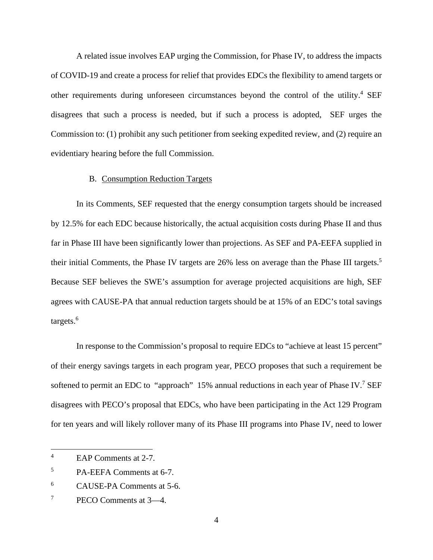A related issue involves EAP urging the Commission, for Phase IV, to address the impacts of COVID-19 and create a process for relief that provides EDCs the flexibility to amend targets or other requirements during unforeseen circumstances beyond the control of the utility.<sup>4</sup> SEF disagrees that such a process is needed, but if such a process is adopted, SEF urges the Commission to: (1) prohibit any such petitioner from seeking expedited review, and (2) require an evidentiary hearing before the full Commission.

#### B. Consumption Reduction Targets

In its Comments, SEF requested that the energy consumption targets should be increased by 12.5% for each EDC because historically, the actual acquisition costs during Phase II and thus far in Phase III have been significantly lower than projections. As SEF and PA-EEFA supplied in their initial Comments, the Phase IV targets are 26% less on average than the Phase III targets.<sup>5</sup> Because SEF believes the SWE's assumption for average projected acquisitions are high, SEF agrees with CAUSE-PA that annual reduction targets should be at 15% of an EDC's total savings targets.<sup>6</sup>

In response to the Commission's proposal to require EDCs to "achieve at least 15 percent" of their energy savings targets in each program year, PECO proposes that such a requirement be softened to permit an EDC to "approach" 15% annual reductions in each year of Phase IV.<sup>7</sup> SEF disagrees with PECO's proposal that EDCs, who have been participating in the Act 129 Program for ten years and will likely rollover many of its Phase III programs into Phase IV, need to lower

<sup>4</sup> EAP Comments at 2-7.

<sup>5</sup> PA-EEFA Comments at 6-7.

<sup>6</sup> CAUSE-PA Comments at 5-6.

<sup>7</sup> PECO Comments at 3—4.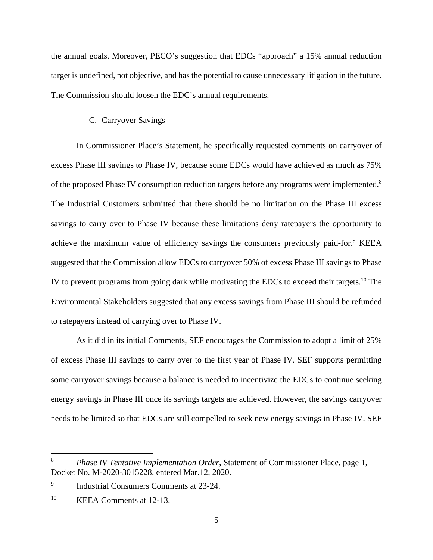the annual goals. Moreover, PECO's suggestion that EDCs "approach" a 15% annual reduction target is undefined, not objective, and has the potential to cause unnecessary litigation in the future. The Commission should loosen the EDC's annual requirements.

### C. Carryover Savings

In Commissioner Place's Statement, he specifically requested comments on carryover of excess Phase III savings to Phase IV, because some EDCs would have achieved as much as 75% of the proposed Phase IV consumption reduction targets before any programs were implemented.<sup>8</sup> The Industrial Customers submitted that there should be no limitation on the Phase III excess savings to carry over to Phase IV because these limitations deny ratepayers the opportunity to achieve the maximum value of efficiency savings the consumers previously paid-for.<sup>9</sup> KEEA suggested that the Commission allow EDCs to carryover 50% of excess Phase III savings to Phase IV to prevent programs from going dark while motivating the EDCs to exceed their targets.10 The Environmental Stakeholders suggested that any excess savings from Phase III should be refunded to ratepayers instead of carrying over to Phase IV.

As it did in its initial Comments, SEF encourages the Commission to adopt a limit of 25% of excess Phase III savings to carry over to the first year of Phase IV. SEF supports permitting some carryover savings because a balance is needed to incentivize the EDCs to continue seeking energy savings in Phase III once its savings targets are achieved. However, the savings carryover needs to be limited so that EDCs are still compelled to seek new energy savings in Phase IV. SEF

<sup>8</sup> *Phase IV Tentative Implementation Order*, Statement of Commissioner Place, page 1, Docket No. M-2020-3015228, entered Mar.12, 2020.

<sup>9</sup> Industrial Consumers Comments at 23-24.

<sup>10</sup> KEEA Comments at 12-13.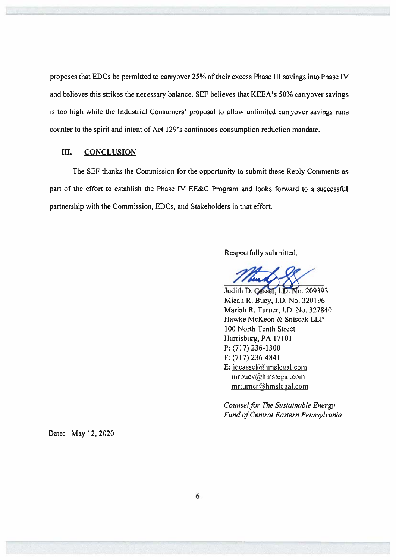proposes that EDCs be permitted to carryover 25% of their excess Phase III savings into Phase IV and believes this strikes the necessary balance. SEF believes that KEEA's 50% carryover savings is too high while the Industrial Consumers' proposal to allow unlimited carryover savings runs counter to the spirit and intent of Act 129's continuous consumption reduction mandate.

#### III. **CONCLUSION**

The SEF thanks the Commission for the opportunity to submit these Reply Comments as part of the effort to establish the Phase IV EE&C Program and looks forward to a successful partnership with the Commission, EDCs, and Stakeholders in that effort.

Respectfully submitted,

Judith D. Cassel, I.D. No. 209393 Micah R. Bucy, I.D. No. 320196 Mariah R. Turner, I.D. No. 327840 Hawke McKeon & Sniscak LLP 100 North Tenth Street Harrisburg, PA 17101 P: (717) 236-1300 F: (717) 236-4841 E: idcassel@hmslegal.com  $mrbucy@hmslegal.com$ mrturner@hmslegal.com

Counsel for The Sustainable Energy Fund of Central Eastern Pennsylvania

Date: May 12, 2020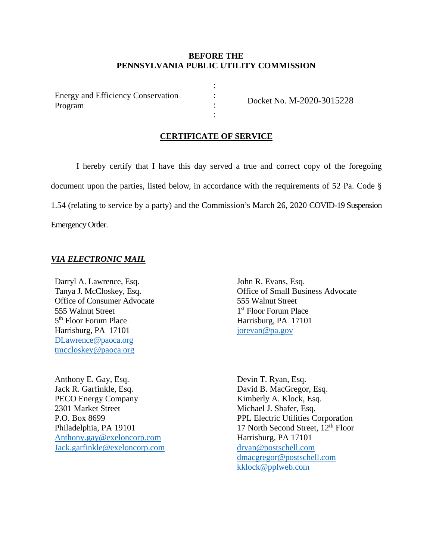# **BEFORE THE PENNSYLVANIA PUBLIC UTILITY COMMISSION**

: : : :

Energy and Efficiency Conservation Program

Docket No. M-2020-3015228

### **CERTIFICATE OF SERVICE**

I hereby certify that I have this day served a true and correct copy of the foregoing document upon the parties, listed below, in accordance with the requirements of 52 Pa. Code § 1.54 (relating to service by a party) and the Commission's March 26, 2020 COVID-19 Suspension Emergency Order.

### *VIA ELECTRONIC MAIL*

Darryl A. Lawrence, Esq. Tanya J. McCloskey, Esq. Office of Consumer Advocate 555 Walnut Street 5th Floor Forum Place Harrisburg, PA 17101 DLawrence@paoca.org tmccloskey@paoca.org

Anthony E. Gay, Esq. Jack R. Garfinkle, Esq. PECO Energy Company 2301 Market Street P.O. Box 8699 Philadelphia, PA 19101 Anthony.gay@exeloncorp.com Jack.garfinkle@exeloncorp.com John R. Evans, Esq. Office of Small Business Advocate 555 Walnut Street 1<sup>st</sup> Floor Forum Place Harrisburg, PA 17101 jorevan@pa.gov

Devin T. Ryan, Esq. David B. MacGregor, Esq. Kimberly A. Klock, Esq. Michael J. Shafer, Esq. PPL Electric Utilities Corporation 17 North Second Street, 12<sup>th</sup> Floor Harrisburg, PA 17101 dryan@postschell.com dmacgregor@postschell.com kklock@pplweb.com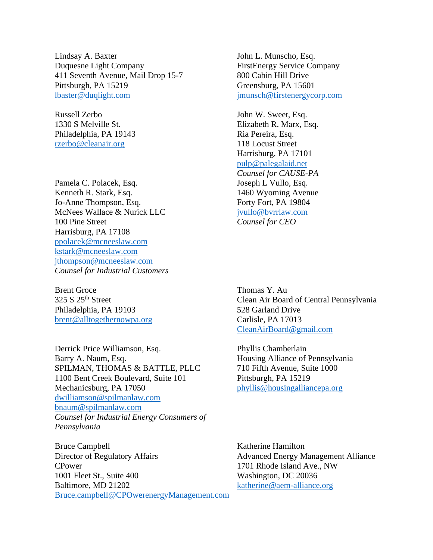Lindsay A. Baxter Duquesne Light Company 411 Seventh Avenue, Mail Drop 15-7 Pittsburgh, PA 15219 lbaster@duqlight.com

Russell Zerbo 1330 S Melville St. Philadelphia, PA 19143 rzerbo@cleanair.org

Pamela C. Polacek, Esq. Kenneth R. Stark, Esq. Jo-Anne Thompson, Esq. McNees Wallace & Nurick LLC 100 Pine Street Harrisburg, PA 17108 ppolacek@mcneeslaw.com kstark@mcneeslaw.com jthompson@mcneeslaw.com *Counsel for Industrial Customers* 

Brent Groce 325 S 25<sup>th</sup> Street Philadelphia, PA 19103 brent@alltogethernowpa.org

Derrick Price Williamson, Esq. Barry A. Naum, Esq. SPILMAN, THOMAS & BATTLE, PLLC 1100 Bent Creek Boulevard, Suite 101 Mechanicsburg, PA 17050 dwilliamson@spilmanlaw.com bnaum@spilmanlaw.com *Counsel for Industrial Energy Consumers of Pennsylvania* 

Bruce Campbell Director of Regulatory Affairs CPower 1001 Fleet St., Suite 400 Baltimore, MD 21202 Bruce.campbell@CPOwerenergyManagement.com John L. Munscho, Esq. FirstEnergy Service Company 800 Cabin Hill Drive Greensburg, PA 15601 jmunsch@firstenergycorp.com

John W. Sweet, Esq. Elizabeth R. Marx, Esq. Ria Pereira, Esq. 118 Locust Street Harrisburg, PA 17101 pulp@palegalaid.net *Counsel for CAUSE-PA*  Joseph L Vullo, Esq. 1460 Wyoming Avenue Forty Fort, PA 19804 jvullo@bvrrlaw.com *Counsel for CEO* 

Thomas Y. Au Clean Air Board of Central Pennsylvania 528 Garland Drive Carlisle, PA 17013 CleanAirBoard@gmail.com

Phyllis Chamberlain Housing Alliance of Pennsylvania 710 Fifth Avenue, Suite 1000 Pittsburgh, PA 15219 phyllis@housingalliancepa.org

Katherine Hamilton Advanced Energy Management Alliance 1701 Rhode Island Ave., NW Washington, DC 20036 katherine@aem-alliance.org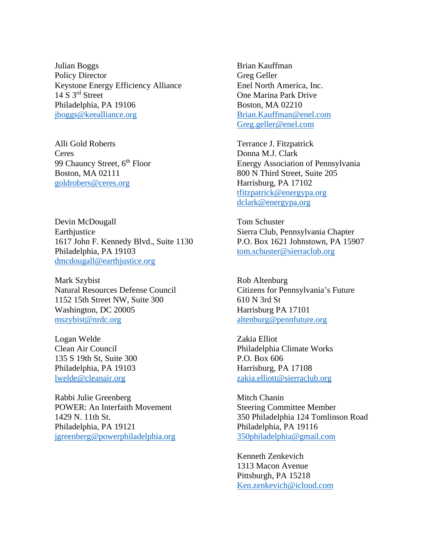Julian Boggs Policy Director Keystone Energy Efficiency Alliance 14 S 3<sup>rd</sup> Street Philadelphia, PA 19106 jboggs@keealliance.org

Alli Gold Roberts Ceres 99 Chauncy Street, 6<sup>th</sup> Floor Boston, MA 02111 goldrobers@ceres.org

Devin McDougall **Earthjustice** 1617 John F. Kennedy Blvd., Suite 1130 Philadelphia, PA 19103 dmcdougall@earthjustice.org

Mark Szybist Natural Resources Defense Council 1152 15th Street NW, Suite 300 Washington, DC 20005 mszybist@nrdc.org

Logan Welde Clean Air Council 135 S 19th St, Suite 300 Philadelphia, PA 19103 lwelde@cleanair.org

Rabbi Julie Greenberg POWER: An Interfaith Movement 1429 N. 11th St. Philadelphia, PA 19121 jgreenberg@powerphiladelphia.org Brian Kauffman Greg Geller Enel North America, Inc. One Marina Park Drive Boston, MA 02210 Brian.Kauffman@enel.com Greg.geller@enel.com

Terrance J. Fitzpatrick Donna M.J. Clark Energy Association of Pennsylvania 800 N Third Street, Suite 205 Harrisburg, PA 17102 tfitzpatrick@energypa.org dclark@energypa.org

Tom Schuster Sierra Club, Pennsylvania Chapter P.O. Box 1621 Johnstown, PA 15907 tom.schuster@sierraclub.org

Rob Altenburg Citizens for Pennsylvania's Future 610 N 3rd St Harrisburg PA 17101 altenburg@pennfuture.org

Zakia Elliot Philadelphia Climate Works P.O. Box 606 Harrisburg, PA 17108 zakia.elliott@sierraclub.org

Mitch Chanin Steering Committee Member 350 Philadelphia 124 Tomlinson Road Philadelphia, PA 19116 350philadelphia@gmail.com

 Kenneth Zenkevich 1313 Macon Avenue Pittsburgh, PA 15218 Ken.zenkevich@icloud.com